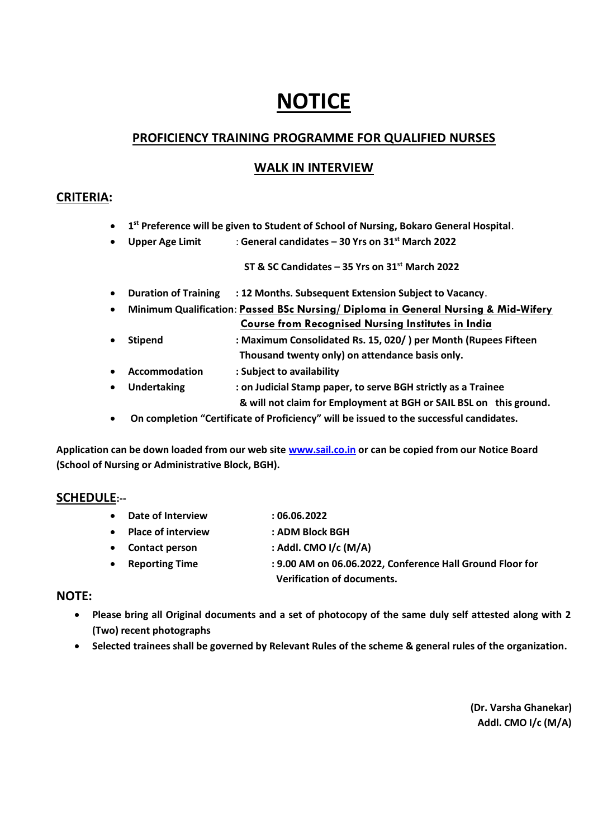# **NOTICE**

# **PROFICIENCY TRAINING PROGRAMME FOR QUALIFIED NURSES**

# **WALK IN INTERVIEW**

## **CRITERIA:**

- **1 st Preference will be given to Student of School of Nursing, Bokaro General Hospital**.
- **Upper Age Limit** : **General candidates – 30 Yrs on 31st March 2022**

 **ST & SC Candidates – 35 Yrs on 31st March 2022**

- **Duration of Training : 12 Months. Subsequent Extension Subject to Vacancy**.
- **Minimum Qualification**: **Passed BSc Nursing/ Diploma in General Nursing & Mid-Wifery Course from Recognised Nursing Institutes in India**
- **Stipend : Maximum Consolidated Rs. 15, 020/ ) per Month (Rupees Fifteen Thousand twenty only) on attendance basis only.**
- **Accommodation : Subject to availability**
- **Undertaking : on Judicial Stamp paper, to serve BGH strictly as a Trainee & will not claim for Employment at BGH or SAIL BSL on this ground.**
- **On completion "Certificate of Proficiency" will be issued to the successful candidates.**

**Application can be down loaded from our web site [www.sail.co.in](http://www.sail.co.in/) or can be copied from our Notice Board (School of Nursing or Administrative Block, BGH).**

# **SCHEDULE:--**

- **Date of Interview : 06.06.2022**
- **Place of interview : ADM Block BGH**
- **Contact person : Addl. CMO I/c (M/A)**
- **Reporting Time : 9.00 AM on 06.06.2022, Conference Hall Ground Floor for Verification of documents.**

## **NOTE:**

- **Please bring all Original documents and a set of photocopy of the same duly self attested along with 2 (Two) recent photographs**
- **Selected trainees shall be governed by Relevant Rules of the scheme & general rules of the organization.**

 **(Dr. Varsha Ghanekar) Addl. CMO I/c (M/A)**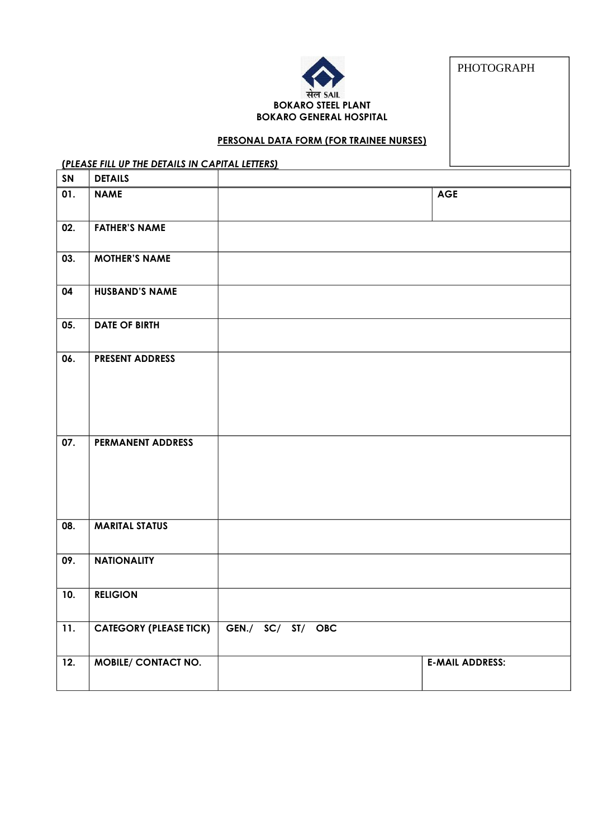

PHOTOGRAPH

#### **PERSONAL DATA FORM (FOR TRAINEE NURSES)**

# **(***PLEASE FILL UP THE DETAILS IN CAPITAL LETTERS)*

| SN                | <b>DETAILS</b>                |                   |                        |
|-------------------|-------------------------------|-------------------|------------------------|
| 01.               | <b>NAME</b>                   |                   | <b>AGE</b>             |
| 02.               | <b>FATHER'S NAME</b>          |                   |                        |
| 03.               | <b>MOTHER'S NAME</b>          |                   |                        |
| 04                | <b>HUSBAND'S NAME</b>         |                   |                        |
| 05.               | <b>DATE OF BIRTH</b>          |                   |                        |
| 06.               | <b>PRESENT ADDRESS</b>        |                   |                        |
|                   |                               |                   |                        |
|                   |                               |                   |                        |
| $\overline{07}$ . | PERMANENT ADDRESS             |                   |                        |
|                   |                               |                   |                        |
|                   |                               |                   |                        |
| 08.               | <b>MARITAL STATUS</b>         |                   |                        |
| 09.               | <b>NATIONALITY</b>            |                   |                        |
| 10.               | <b>RELIGION</b>               |                   |                        |
| 11.               | <b>CATEGORY (PLEASE TICK)</b> | GEN./ SC/ ST/ OBC |                        |
| $\overline{12}$ . | <b>MOBILE/ CONTACT NO.</b>    |                   | <b>E-MAIL ADDRESS:</b> |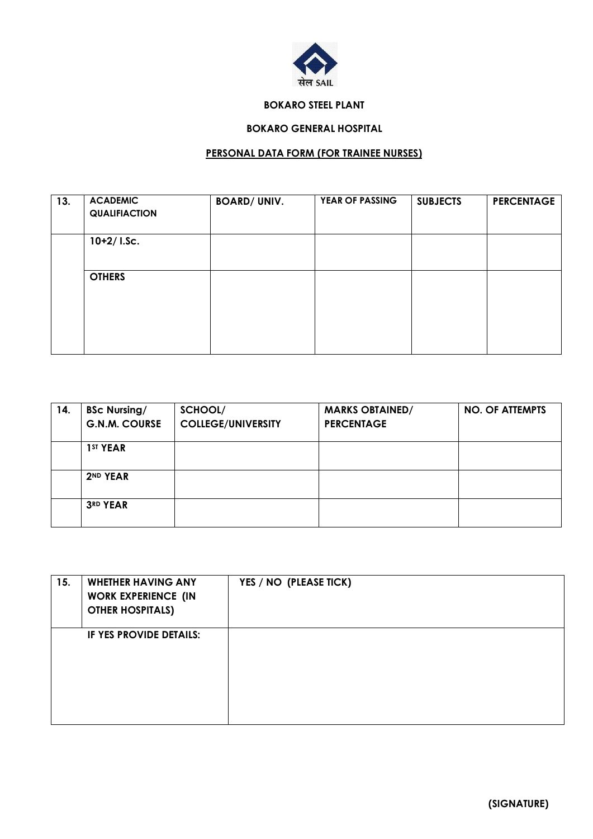

#### **BOKARO STEEL PLANT**

# **BOKARO GENERAL HOSPITAL**

# **PERSONAL DATA FORM (FOR TRAINEE NURSES)**

| 13. | <b>ACADEMIC</b><br><b>QUALIFIACTION</b> | <b>BOARD/ UNIV.</b> | YEAR OF PASSING | <b>SUBJECTS</b> | <b>PERCENTAGE</b> |
|-----|-----------------------------------------|---------------------|-----------------|-----------------|-------------------|
|     | $10+2/$ I.Sc.                           |                     |                 |                 |                   |
|     | <b>OTHERS</b>                           |                     |                 |                 |                   |
|     |                                         |                     |                 |                 |                   |

| 14. | <b>BSc Nursing/</b><br><b>G.N.M. COURSE</b> | SCHOOL/<br><b>COLLEGE/UNIVERSITY</b> | <b>MARKS OBTAINED/</b><br><b>PERCENTAGE</b> | <b>NO. OF ATTEMPTS</b> |
|-----|---------------------------------------------|--------------------------------------|---------------------------------------------|------------------------|
|     | 1 <sup>ST</sup> YEAR                        |                                      |                                             |                        |
|     | 2ND YEAR                                    |                                      |                                             |                        |
|     | 3RD YEAR                                    |                                      |                                             |                        |

| 15. | <b>WHETHER HAVING ANY</b><br><b>WORK EXPERIENCE (IN</b><br><b>OTHER HOSPITALS)</b> | YES / NO (PLEASE TICK) |
|-----|------------------------------------------------------------------------------------|------------------------|
|     | IF YES PROVIDE DETAILS:                                                            |                        |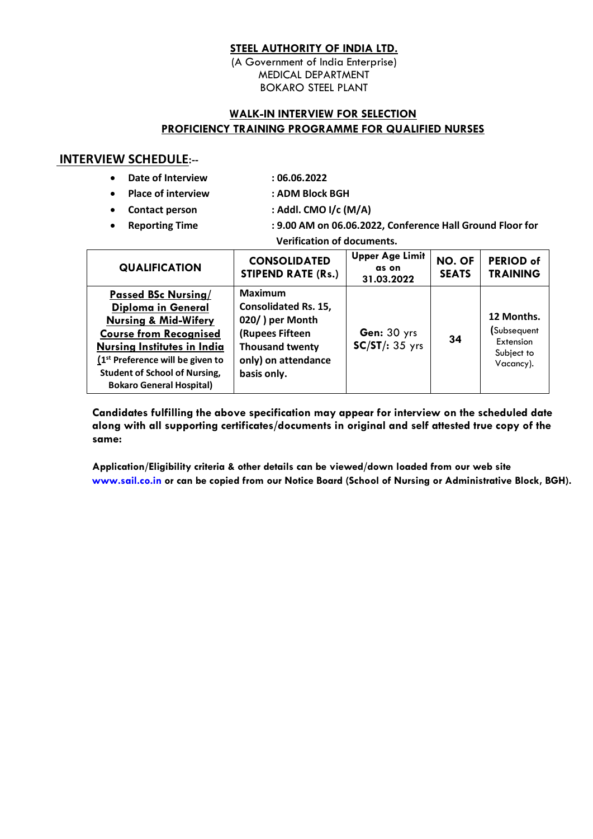## **STEEL AUTHORITY OF INDIA LTD.**

(A Government of India Enterprise) MEDICAL DEPARTMENT BOKARO STEEL PLANT

## **WALK-IN INTERVIEW FOR SELECTION PROFICIENCY TRAINING PROGRAMME FOR QUALIFIED NURSES**

## **INTERVIEW SCHEDULE:--**

- **Date of Interview : 06.06.2022**
- 
- **Place of interview : ADM Block BGH**
- -
- **Contact person : Addl. CMO I/c (M/A)**
- **Reporting Time : 9.00 AM on 06.06.2022, Conference Hall Ground Floor for Verification of documents.**

| <b>QUALIFICATION</b>                                                                                                                                                                                                                                                               | <b>CONSOLIDATED</b><br><b>STIPEND RATE (Rs.)</b>                                                                                                    | <b>Upper Age Limit</b><br>as on<br>31.03.2022 | NO. OF<br><b>SEATS</b> | <b>PERIOD of</b><br><b>TRAINING</b>                               |
|------------------------------------------------------------------------------------------------------------------------------------------------------------------------------------------------------------------------------------------------------------------------------------|-----------------------------------------------------------------------------------------------------------------------------------------------------|-----------------------------------------------|------------------------|-------------------------------------------------------------------|
| <b>Passed BSc Nursing/</b><br><b>Diploma in General</b><br><b>Nursing &amp; Mid-Wifery</b><br><b>Course from Recognised</b><br><b>Nursing Institutes in India</b><br>$(1st$ Preference will be given to<br><b>Student of School of Nursing,</b><br><b>Bokaro General Hospital)</b> | <b>Maximum</b><br><b>Consolidated Rs. 15,</b><br>020/) per Month<br>(Rupees Fifteen<br><b>Thousand twenty</b><br>only) on attendance<br>basis only. | Gen: 30 yrs<br>$SC/ST/35$ yrs                 | 34                     | 12 Months.<br>(Subsequent<br>Extension<br>Subject to<br>Vacancy). |

**Candidates fulfilling the above specification may appear for interview on the scheduled date along with all supporting certificates/documents in original and self attested true copy of the same:** 

 **Application/Eligibility criteria & other details can be viewed/down loaded from our web site [www.sail.co.in](http://www.sail.co.in/) or can be copied from our Notice Board (School of Nursing or Administrative Block, BGH).**